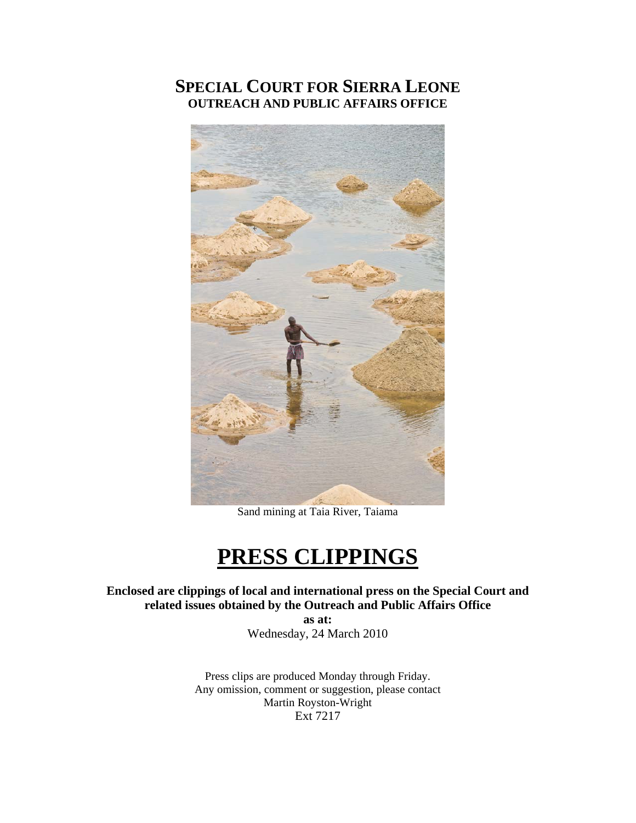# **SPECIAL COURT FOR SIERRA LEONE OUTREACH AND PUBLIC AFFAIRS OFFICE**



Sand mining at Taia River, Taiama

# **PRESS CLIPPINGS**

**Enclosed are clippings of local and international press on the Special Court and related issues obtained by the Outreach and Public Affairs Office** 

**as at:**  Wednesday, 24 March 2010

Press clips are produced Monday through Friday. Any omission, comment or suggestion, please contact Martin Royston-Wright Ext 7217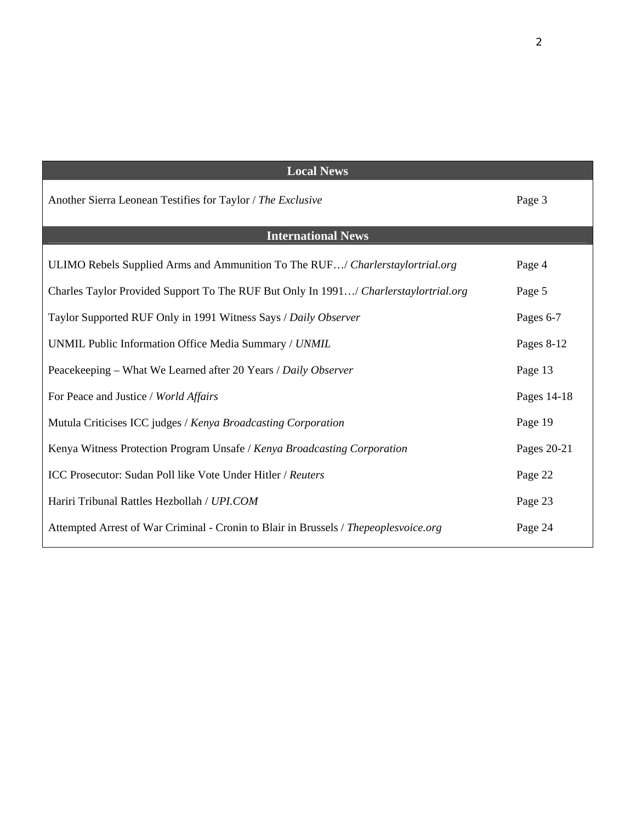| <b>Local News</b>                                                                    |             |
|--------------------------------------------------------------------------------------|-------------|
| Another Sierra Leonean Testifies for Taylor / The Exclusive                          | Page 3      |
| <b>International News</b>                                                            |             |
| ULIMO Rebels Supplied Arms and Ammunition To The RUF/ Charlerstaylortrial.org        | Page 4      |
| Charles Taylor Provided Support To The RUF But Only In 1991/ Charlerstaylortrial.org | Page 5      |
| Taylor Supported RUF Only in 1991 Witness Says / Daily Observer                      | Pages 6-7   |
| UNMIL Public Information Office Media Summary / UNMIL                                | Pages 8-12  |
| Peacekeeping – What We Learned after 20 Years / Daily Observer                       | Page 13     |
| For Peace and Justice / World Affairs                                                | Pages 14-18 |
| Mutula Criticises ICC judges / Kenya Broadcasting Corporation                        | Page 19     |
| Kenya Witness Protection Program Unsafe / Kenya Broadcasting Corporation             | Pages 20-21 |
| ICC Prosecutor: Sudan Poll like Vote Under Hitler / Reuters                          | Page 22     |
| Hariri Tribunal Rattles Hezbollah / UPI.COM                                          | Page 23     |
| Attempted Arrest of War Criminal - Cronin to Blair in Brussels / Thepeoplesvoice.org | Page 24     |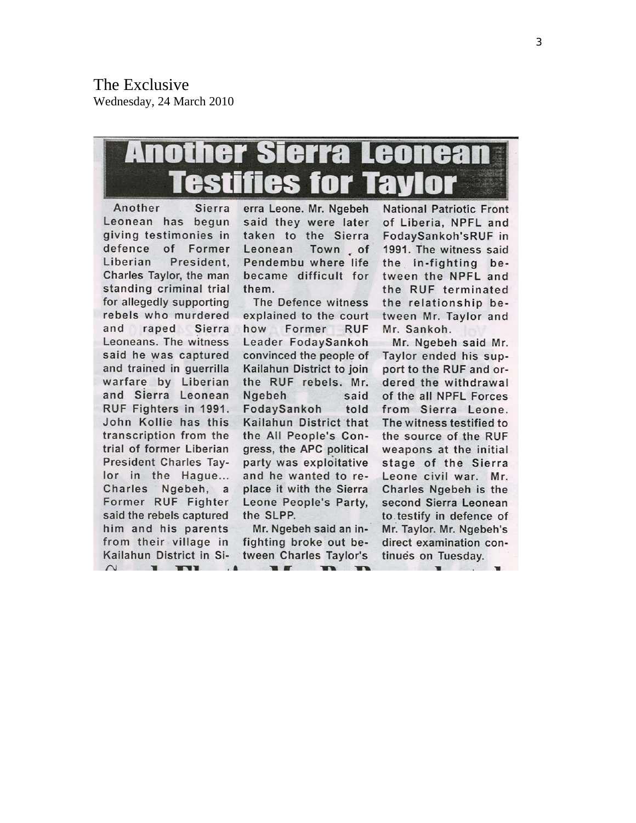# Sierra Leonea AIOI Thes for

Another Sierra Leonean has begun giving testimonies in defence  $of$ Former President. Liberian Charles Taylor, the man standing criminal trial for allegedly supporting rebels who murdered and raped Sierra Leoneans. The witness said he was captured and trained in querrilla warfare by Liberian and Sierra Leonean RUF Fighters in 1991. John Kollie has this transcription from the trial of former Liberian President Charles Taylor in the Hague... Charles Ngebeh, a Former RUF Fighter said the rebels captured him and his parents from their village in Kailahun District in Si- $\bigcap$  $\mathbf{w}$ **THE** 

erra Leone, Mr. Ngebeh said they were later taken to the Sierra Leonean Town of Pendembu where life became difficult for them.

The Defence witness explained to the court how Former RUF Leader FodaySankoh convinced the people of Kailahun District to join the RUF rebels. Mr. Ngebeh said FodaySankoh told Kailahun District that the All People's Congress, the APC political party was exploitative and he wanted to replace it with the Sierra Leone People's Party, the SLPP.

Mr. Ngebeh said an infighting broke out between Charles Taylor's  $\mathbf{w}$  $\blacksquare$ 

**National Patriotic Front** of Liberia, NPFL and FodaySankoh'sRUF in 1991. The witness said the in-fighting between the NPFL and the RUF terminated the relationship between Mr. Taylor and Mr. Sankoh.

Mr. Ngebeh said Mr. Taylor ended his support to the RUF and ordered the withdrawal of the all NPFL Forces from Sierra Leone. The witness testified to the source of the RUF weapons at the initial stage of the Sierra Leone civil war. Mr. Charles Ngebeh is the second Sierra Leonean to testify in defence of Mr. Taylor. Mr. Ngebeh's direct examination continues on Tuesday.

3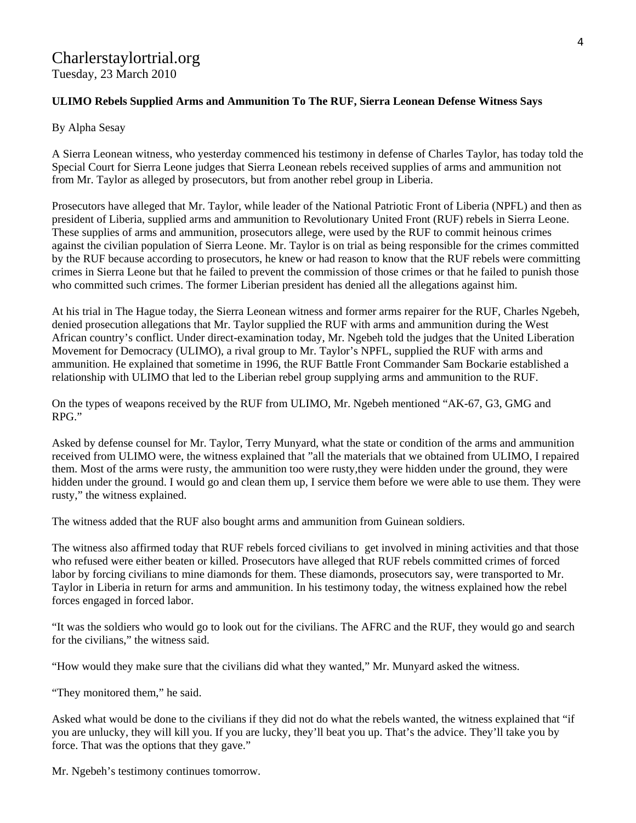# Charlerstaylortrial.org

Tuesday, 23 March 2010

#### **ULIMO Rebels Supplied Arms and Ammunition To The RUF, Sierra Leonean Defense Witness Says**

#### By Alpha Sesay

A Sierra Leonean witness, who yesterday commenced his testimony in defense of Charles Taylor, has today told the Special Court for Sierra Leone judges that Sierra Leonean rebels received supplies of arms and ammunition not from Mr. Taylor as alleged by prosecutors, but from another rebel group in Liberia.

Prosecutors have alleged that Mr. Taylor, while leader of the National Patriotic Front of Liberia (NPFL) and then as president of Liberia, supplied arms and ammunition to Revolutionary United Front (RUF) rebels in Sierra Leone. These supplies of arms and ammunition, prosecutors allege, were used by the RUF to commit heinous crimes against the civilian population of Sierra Leone. Mr. Taylor is on trial as being responsible for the crimes committed by the RUF because according to prosecutors, he knew or had reason to know that the RUF rebels were committing crimes in Sierra Leone but that he failed to prevent the commission of those crimes or that he failed to punish those who committed such crimes. The former Liberian president has denied all the allegations against him.

At his trial in The Hague today, the Sierra Leonean witness and former arms repairer for the RUF, Charles Ngebeh, denied prosecution allegations that Mr. Taylor supplied the RUF with arms and ammunition during the West African country's conflict. Under direct-examination today, Mr. Ngebeh told the judges that the United Liberation Movement for Democracy (ULIMO), a rival group to Mr. Taylor's NPFL, supplied the RUF with arms and ammunition. He explained that sometime in 1996, the RUF Battle Front Commander Sam Bockarie established a relationship with ULIMO that led to the Liberian rebel group supplying arms and ammunition to the RUF.

On the types of weapons received by the RUF from ULIMO, Mr. Ngebeh mentioned "AK-67, G3, GMG and RPG."

Asked by defense counsel for Mr. Taylor, Terry Munyard, what the state or condition of the arms and ammunition received from ULIMO were, the witness explained that "all the materials that we obtained from ULIMO, I repaired them. Most of the arms were rusty, the ammunition too were rusty,they were hidden under the ground, they were hidden under the ground. I would go and clean them up, I service them before we were able to use them. They were rusty," the witness explained.

The witness added that the RUF also bought arms and ammunition from Guinean soldiers.

The witness also affirmed today that RUF rebels forced civilians to get involved in mining activities and that those who refused were either beaten or killed. Prosecutors have alleged that RUF rebels committed crimes of forced labor by forcing civilians to mine diamonds for them. These diamonds, prosecutors say, were transported to Mr. Taylor in Liberia in return for arms and ammunition. In his testimony today, the witness explained how the rebel forces engaged in forced labor.

"It was the soldiers who would go to look out for the civilians. The AFRC and the RUF, they would go and search for the civilians," the witness said.

"How would they make sure that the civilians did what they wanted," Mr. Munyard asked the witness.

"They monitored them," he said.

Asked what would be done to the civilians if they did not do what the rebels wanted, the witness explained that "if you are unlucky, they will kill you. If you are lucky, they'll beat you up. That's the advice. They'll take you by force. That was the options that they gave."

Mr. Ngebeh's testimony continues tomorrow.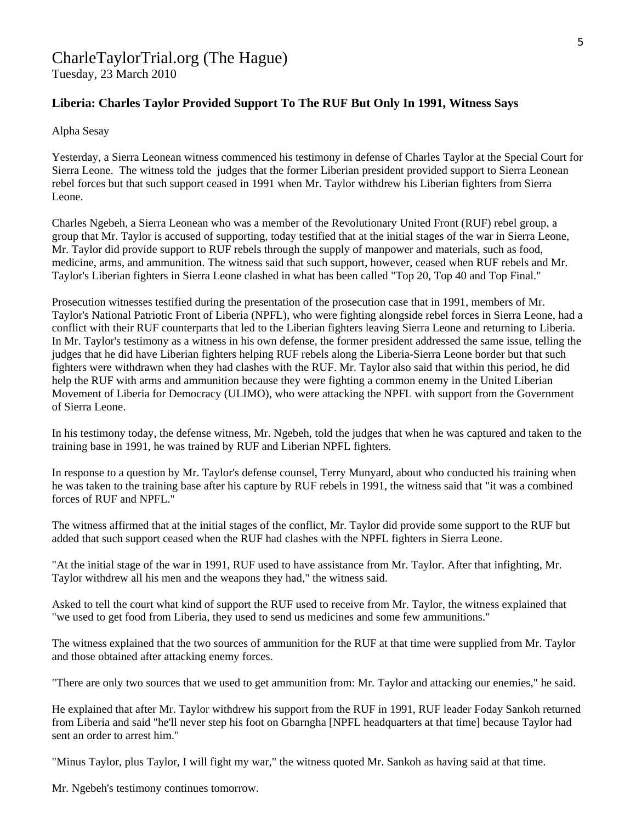# CharleTaylorTrial.org (The Hague)

Tuesday, 23 March 2010

### **Liberia: Charles Taylor Provided Support To The RUF But Only In 1991, Witness Says**

Alpha Sesay

Yesterday, a Sierra Leonean witness commenced his testimony in defense of Charles Taylor at the Special Court for Sierra Leone. The witness told the judges that the former Liberian president provided support to Sierra Leonean rebel forces but that such support ceased in 1991 when Mr. Taylor withdrew his Liberian fighters from Sierra Leone.

Charles Ngebeh, a Sierra Leonean who was a member of the Revolutionary United Front (RUF) rebel group, a group that Mr. Taylor is accused of supporting, today testified that at the initial stages of the war in Sierra Leone, Mr. Taylor did provide support to RUF rebels through the supply of manpower and materials, such as food, medicine, arms, and ammunition. The witness said that such support, however, ceased when RUF rebels and Mr. Taylor's Liberian fighters in Sierra Leone clashed in what has been called "Top 20, Top 40 and Top Final."

Prosecution witnesses testified during the presentation of the prosecution case that in 1991, members of Mr. Taylor's National Patriotic Front of Liberia (NPFL), who were fighting alongside rebel forces in Sierra Leone, had a conflict with their RUF counterparts that led to the Liberian fighters leaving Sierra Leone and returning to Liberia. In Mr. Taylor's testimony as a witness in his own defense, the former president addressed the same issue, telling the judges that he did have Liberian fighters helping RUF rebels along the Liberia-Sierra Leone border but that such fighters were withdrawn when they had clashes with the RUF. Mr. Taylor also said that within this period, he did help the RUF with arms and ammunition because they were fighting a common enemy in the United Liberian Movement of Liberia for Democracy (ULIMO), who were attacking the NPFL with support from the Government of Sierra Leone.

In his testimony today, the defense witness, Mr. Ngebeh, told the judges that when he was captured and taken to the training base in 1991, he was trained by RUF and Liberian NPFL fighters.

In response to a question by Mr. Taylor's defense counsel, Terry Munyard, about who conducted his training when he was taken to the training base after his capture by RUF rebels in 1991, the witness said that "it was a combined forces of RUF and NPFL."

The witness affirmed that at the initial stages of the conflict, Mr. Taylor did provide some support to the RUF but added that such support ceased when the RUF had clashes with the NPFL fighters in Sierra Leone.

"At the initial stage of the war in 1991, RUF used to have assistance from Mr. Taylor. After that infighting, Mr. Taylor withdrew all his men and the weapons they had," the witness said.

Asked to tell the court what kind of support the RUF used to receive from Mr. Taylor, the witness explained that "we used to get food from Liberia, they used to send us medicines and some few ammunitions."

The witness explained that the two sources of ammunition for the RUF at that time were supplied from Mr. Taylor and those obtained after attacking enemy forces.

"There are only two sources that we used to get ammunition from: Mr. Taylor and attacking our enemies," he said.

He explained that after Mr. Taylor withdrew his support from the RUF in 1991, RUF leader Foday Sankoh returned from Liberia and said "he'll never step his foot on Gbarngha [NPFL headquarters at that time] because Taylor had sent an order to arrest him."

"Minus Taylor, plus Taylor, I will fight my war," the witness quoted Mr. Sankoh as having said at that time.

Mr. Ngebeh's testimony continues tomorrow.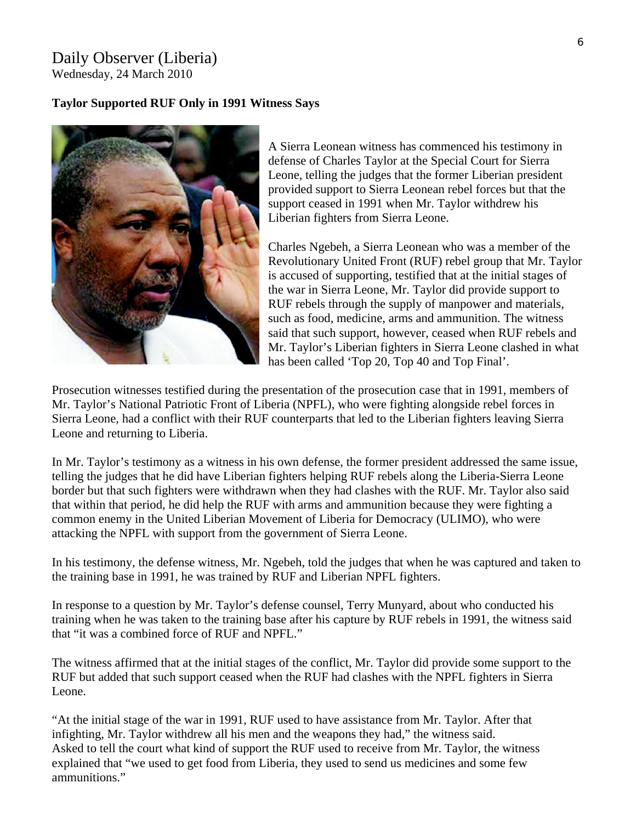## Daily Observer (Liberia) Wednesday, 24 March 2010

#### **Taylor Supported RUF Only in 1991 Witness Says**



A Sierra Leonean witness has commenced his testimony in defense of Charles Taylor at the Special Court for Sierra Leone, telling the judges that the former Liberian president provided support to Sierra Leonean rebel forces but that the support ceased in 1991 when Mr. Taylor withdrew his Liberian fighters from Sierra Leone.

Charles Ngebeh, a Sierra Leonean who was a member of the Revolutionary United Front (RUF) rebel group that Mr. T aylor is accused of supporting, testified that at the initial stages of the war in Sierra Leone, Mr. Taylor did provide support to RUF rebels through the supply of manpower and materials, such as food, medicine, arms and ammunition. The witness said that such support, however, ceased when RUF rebels an d Mr. Taylor's Liberian fighters in Sierra Leone clashed in w hat has been called 'Top 20, Top 40 and Top Final'.

Prosecution witnesses testified during the presentation of the prosecution case that in 1991, members of Mr. Taylor's National Patriotic Front of Liberia (NPFL), who were fighting alongside rebel forces in Sierra Leone, had a conflict with their RUF counterparts that led to the Liberian fighters leaving Sierra Leone and returning to Liberia.

In Mr. Taylor's testimony as a witness in his own defense, the former president addressed the same issue, telling the judges that he did have Liberian fighters helping RUF rebels along the Liberia-Sierra Leone border but that such fighters were withdrawn when they had clashes with the RUF. Mr. Taylor also said that within that period, he did help the RUF with arms and ammunition because they were fighting a common enemy in the United Liberian Movement of Liberia for Democracy (ULIMO), who were attacking the NPFL with support from the government of Sierra Leone.

In his testimony, the defense witness, Mr. Ngebeh, told the judges that when he was captured and taken to the training base in 1991, he was trained by RUF and Liberian NPFL fighters.

In response to a question by Mr. Taylor's defense counsel, Terry Munyard, about who conducted his training when he was taken to the training base after his capture by RUF rebels in 1991, the witness said that "it was a combined force of RUF and NPFL."

The witness affirmed that at the initial stages of the conflict, Mr. Taylor did provide some support to the RUF but added that such support ceased when the RUF had clashes with the NPFL fighters in Sierra Leone.

At the initial stage of the war in 1991, RUF used to have assistance from Mr. Taylor. After that " Asked to tell the court what kind of support the RUF used to receive from Mr. Taylor, the witness infighting, Mr. Taylor withdrew all his men and the weapons they had," the witness said. explained that "we used to get food from Liberia, they used to send us medicines and some few ammunitions."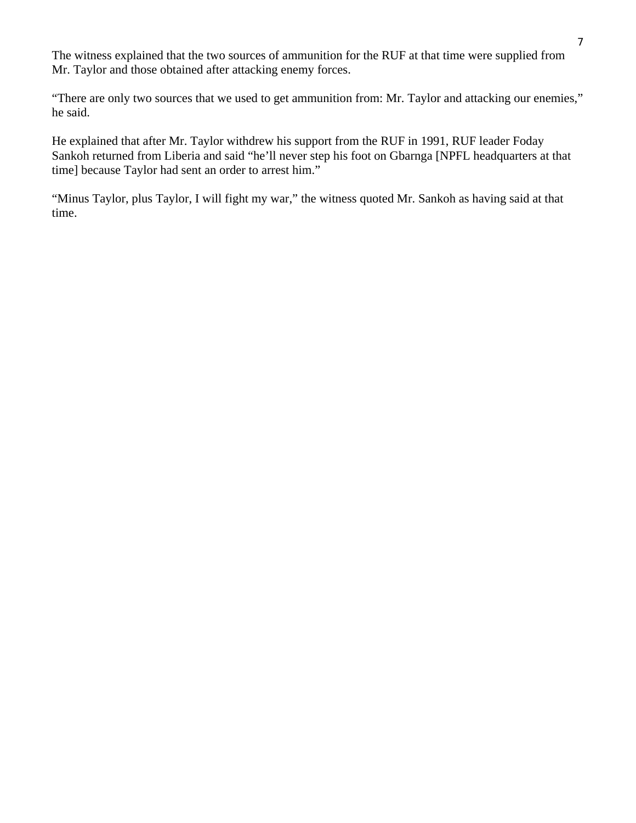The witness explained that the two sources of ammunition for the RUF at that time were supplied from Mr. Taylor and those obtained after attacking enemy forces.

"There are only two sources that we used to get ammunition from: Mr. Taylor and attacking our enemies," he said.

He explained that after Mr. Taylor withdrew his support from the RUF in 1991, RUF leader Foday Sankoh returned from Liberia and said "he'll never step his foot on Gbarnga [NPFL headquarters at that time] because Taylor had sent an order to arrest him."

"Minus Taylor, plus Taylor, I will fight my war," the witness quoted Mr. Sankoh as having said at that time.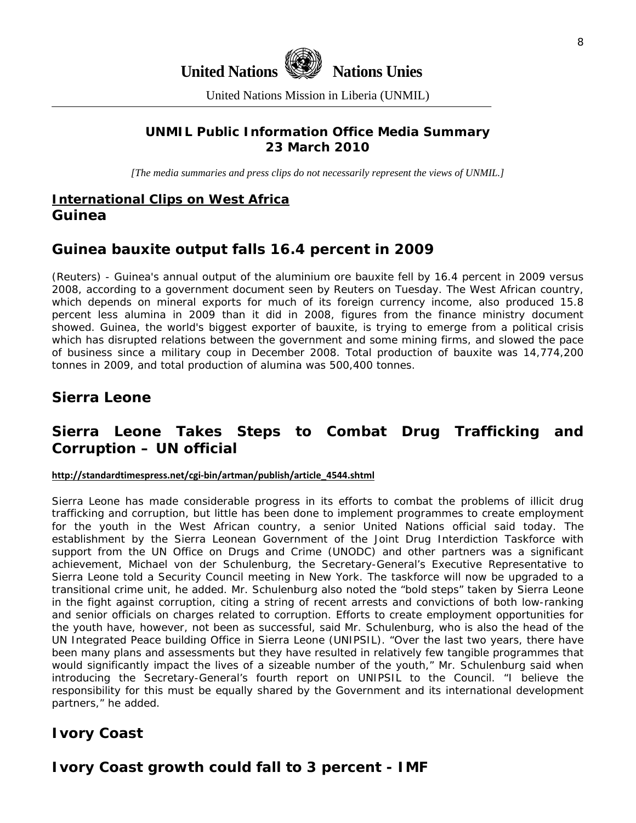

United Nations Mission in Liberia (UNMIL)

# **UNMIL Public Information Office Media Summary 23 March 2010**

*[The media summaries and press clips do not necessarily represent the views of UNMIL.]* 

# **International Clips on West Africa Guinea**

# **Guinea bauxite output falls 16.4 percent in 2009**

(Reuters) - Guinea's annual output of the aluminium ore bauxite fell by 16.4 percent in 2009 versus 2008, according to a government document seen by Reuters on Tuesday. The West African country, which depends on mineral exports for much of its foreign currency income, also produced 15.8 percent less alumina in 2009 than it did in 2008, figures from the finance ministry document showed. Guinea, the world's biggest exporter of bauxite, is trying to emerge from a political crisis which has disrupted relations between the government and some mining firms, and slowed the pace of business since a military coup in December 2008. Total production of bauxite was 14,774,200 tonnes in 2009, and total production of alumina was 500,400 tonnes.

# **Sierra Leone**

# **Sierra Leone Takes Steps to Combat Drug Trafficking and Corruption – UN official**

#### **http://standardtimespress.net/cgi‐[bin/artman/publish/article\\_4544.shtml](http://standardtimespress.net/cgi-bin/artman/publish/article_4544.shtml)**

Sierra Leone has made considerable progress in its efforts to combat the problems of illicit drug trafficking and corruption, but little has been done to implement programmes to create employment for the youth in the West African country, a senior United Nations official said today. The establishment by the Sierra Leonean Government of the Joint Drug Interdiction Taskforce with support from the UN Office on Drugs and Crime (UNODC) and other partners was a significant achievement, Michael von der Schulenburg, the Secretary-General's Executive Representative to Sierra Leone told a Security Council meeting in New York. The taskforce will now be upgraded to a transitional crime unit, he added. Mr. Schulenburg also noted the "bold steps" taken by Sierra Leone in the fight against corruption, citing a string of recent arrests and convictions of both low-ranking and senior officials on charges related to corruption. Efforts to create employment opportunities for the youth have, however, not been as successful, said Mr. Schulenburg, who is also the head of the UN Integrated Peace building Office in Sierra Leone (UNIPSIL). "Over the last two years, there have been many plans and assessments but they have resulted in relatively few tangible programmes that would significantly impact the lives of a sizeable number of the youth," Mr. Schulenburg said when introducing the Secretary-General's fourth report on UNIPSIL to the Council. "I believe the responsibility for this must be equally shared by the Government and its international development partners," he added.

# **Ivory Coast**

# **Ivory Coast growth could fall to 3 percent - IMF**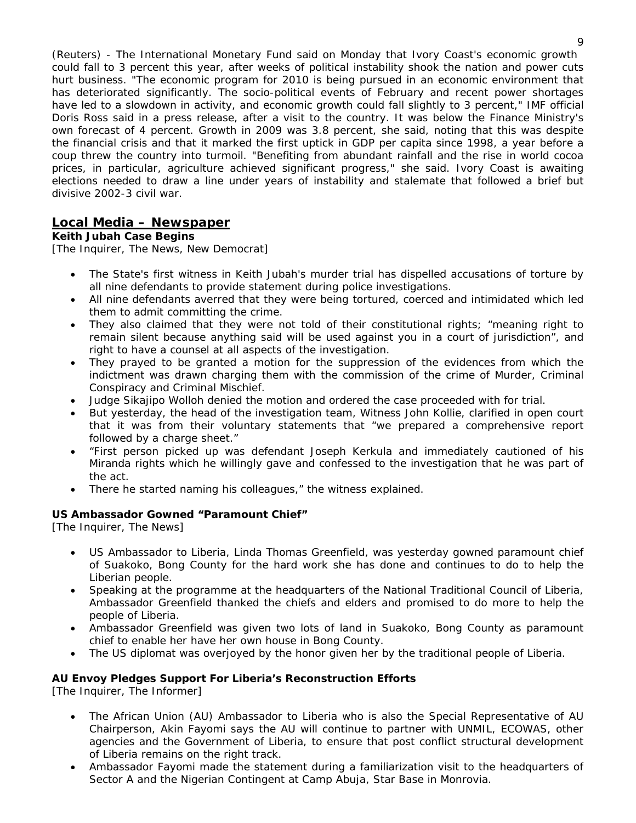(Reuters) - The International Monetary Fund said on Monday that Ivory Coast's economic growth could fall to 3 percent this year, after weeks of political instability shook the nation and power cuts hurt business. "The economic program for 2010 is being pursued in an economic environment that has deteriorated significantly. The socio-political events of February and recent power shortages have led to a slowdown in activity, and economic growth could fall slightly to 3 percent," IMF official Doris Ross said in a press release, after a visit to the country. It was below the Finance Ministry's own forecast of 4 percent. Growth in 2009 was 3.8 percent, she said, noting that this was despite the financial crisis and that it marked the first uptick in GDP per capita since 1998, a year before a coup threw the country into turmoil. "Benefiting from abundant rainfall and the rise in world cocoa prices, in particular, agriculture achieved significant progress," she said. Ivory Coast is awaiting elections needed to draw a line under years of instability and stalemate that followed a brief but divisive 2002-3 civil war.

## **Local Media – Newspaper**

#### **Keith Jubah Case Begins**

[The Inquirer, The News, New Democrat]

- The State's first witness in Keith Jubah's murder trial has dispelled accusations of torture by all nine defendants to provide statement during police investigations.
- All nine defendants averred that they were being tortured, coerced and intimidated which led them to admit committing the crime.
- They also claimed that they were not told of their constitutional rights; "meaning right to remain silent because anything said will be used against you in a court of jurisdiction", and right to have a counsel at all aspects of the investigation.
- They prayed to be granted a motion for the suppression of the evidences from which the indictment was drawn charging them with the commission of the crime of Murder, Criminal Conspiracy and Criminal Mischief.
- Judge Sikajipo Wolloh denied the motion and ordered the case proceeded with for trial.
- But yesterday, the head of the investigation team, Witness John Kollie, clarified in open court that it was from their voluntary statements that "we prepared a comprehensive report followed by a charge sheet."
- "First person picked up was defendant Joseph Kerkula and immediately cautioned of his Miranda rights which he willingly gave and confessed to the investigation that he was part of the act.
- There he started naming his colleagues," the witness explained.

#### **US Ambassador Gowned "Paramount Chief"**

[The Inquirer, The News]

- US Ambassador to Liberia, Linda Thomas Greenfield, was yesterday gowned paramount chief of Suakoko, Bong County for the hard work she has done and continues to do to help the Liberian people.
- Speaking at the programme at the headquarters of the National Traditional Council of Liberia, Ambassador Greenfield thanked the chiefs and elders and promised to do more to help the people of Liberia.
- Ambassador Greenfield was given two lots of land in Suakoko, Bong County as paramount chief to enable her have her own house in Bong County.
- The US diplomat was overjoyed by the honor given her by the traditional people of Liberia.

#### **AU Envoy Pledges Support For Liberia's Reconstruction Efforts**

[The Inquirer, The Informer]

- The African Union (AU) Ambassador to Liberia who is also the Special Representative of AU Chairperson, Akin Fayomi says the AU will continue to partner with UNMIL, ECOWAS, other agencies and the Government of Liberia, to ensure that post conflict structural development of Liberia remains on the right track.
- Ambassador Fayomi made the statement during a familiarization visit to the headquarters of Sector A and the Nigerian Contingent at Camp Abuja, Star Base in Monrovia.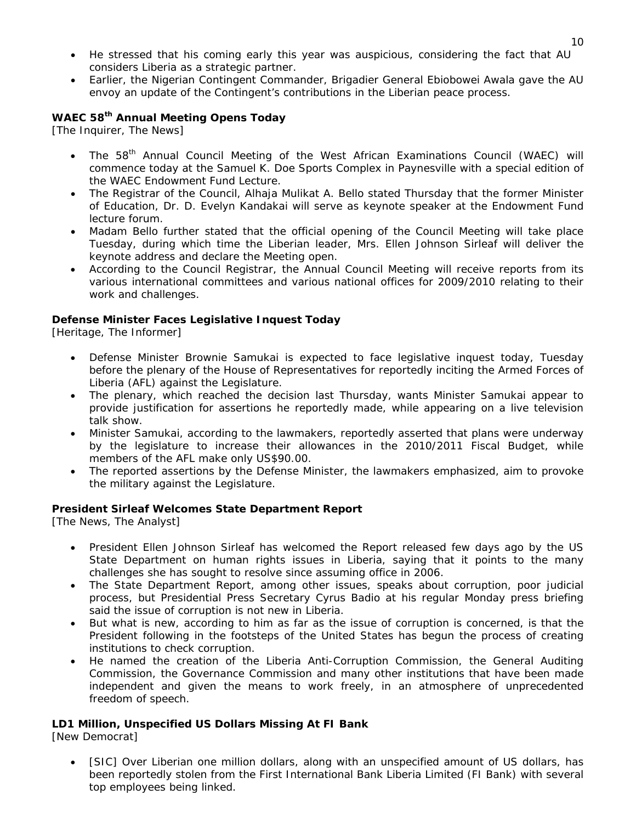- He stressed that his coming early this year was auspicious, considering the fact that AU considers Liberia as a strategic partner.
- Earlier, the Nigerian Contingent Commander, Brigadier General Ebiobowei Awala gave the AU envoy an update of the Contingent's contributions in the Liberian peace process.

### **WAEC 58th Annual Meeting Opens Today**

[The Inquirer, The News]

- The 58<sup>th</sup> Annual Council Meeting of the West African Examinations Council (WAEC) will commence today at the Samuel K. Doe Sports Complex in Paynesville with a special edition of the WAEC Endowment Fund Lecture.
- The Registrar of the Council, Alhaja Mulikat A. Bello stated Thursday that the former Minister of Education, Dr. D. Evelyn Kandakai will serve as keynote speaker at the Endowment Fund lecture forum.
- Madam Bello further stated that the official opening of the Council Meeting will take place Tuesday, during which time the Liberian leader, Mrs. Ellen Johnson Sirleaf will deliver the keynote address and declare the Meeting open.
- According to the Council Registrar, the Annual Council Meeting will receive reports from its various international committees and various national offices for 2009/2010 relating to their work and challenges.

#### **Defense Minister Faces Legislative Inquest Today**

[Heritage, The Informer]

- Defense Minister Brownie Samukai is expected to face legislative inquest today, Tuesday before the plenary of the House of Representatives for reportedly inciting the Armed Forces of Liberia (AFL) against the Legislature.
- The plenary, which reached the decision last Thursday, wants Minister Samukai appear to provide justification for assertions he reportedly made, while appearing on a live television talk show.
- Minister Samukai, according to the lawmakers, reportedly asserted that plans were underway by the legislature to increase their allowances in the 2010/2011 Fiscal Budget, while members of the AFL make only US\$90.00.
- The reported assertions by the Defense Minister, the lawmakers emphasized, aim to provoke the military against the Legislature.

#### **President Sirleaf Welcomes State Department Report**

[The News, The Analyst]

- President Ellen Johnson Sirleaf has welcomed the Report released few days ago by the US State Department on human rights issues in Liberia, saying that it points to the many challenges she has sought to resolve since assuming office in 2006.
- The State Department Report, among other issues, speaks about corruption, poor judicial process, but Presidential Press Secretary Cyrus Badio at his regular Monday press briefing said the issue of corruption is not new in Liberia.
- But what is new, according to him as far as the issue of corruption is concerned, is that the President following in the footsteps of the United States has begun the process of creating institutions to check corruption.
- He named the creation of the Liberia Anti-Corruption Commission, the General Auditing Commission, the Governance Commission and many other institutions that have been made independent and given the means to work freely, in an atmosphere of unprecedented freedom of speech.

#### **LD1 Million, Unspecified US Dollars Missing At FI Bank**

[New Democrat]

• [SIC] Over Liberian one million dollars, along with an unspecified amount of US dollars, has been reportedly stolen from the First International Bank Liberia Limited (FI Bank) with several top employees being linked.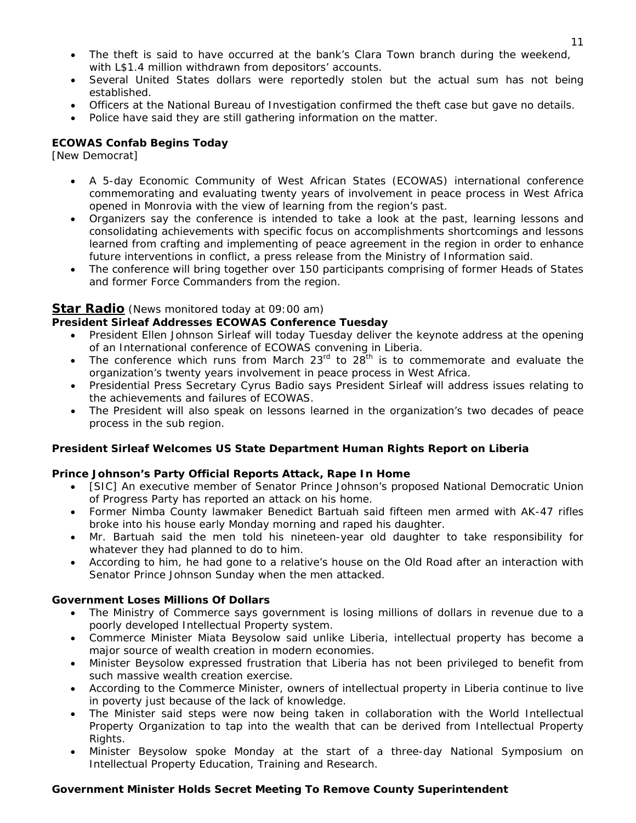- The theft is said to have occurred at the bank's Clara Town branch during the weekend, with L\$1.4 million withdrawn from depositors' accounts.
- Several United States dollars were reportedly stolen but the actual sum has not being established.
- Officers at the National Bureau of Investigation confirmed the theft case but gave no details.
- Police have said they are still gathering information on the matter.

#### **ECOWAS Confab Begins Today**

[New Democrat]

- A 5-day Economic Community of West African States (ECOWAS) international conference commemorating and evaluating twenty years of involvement in peace process in West Africa opened in Monrovia with the view of learning from the region's past.
- Organizers say the conference is intended to take a look at the past, learning lessons and consolidating achievements with specific focus on accomplishments shortcomings and lessons learned from crafting and implementing of peace agreement in the region in order to enhance future interventions in conflict, a press release from the Ministry of Information said.
- The conference will bring together over 150 participants comprising of former Heads of States and former Force Commanders from the region.

#### **Star Radio** *(News monitored today at 09:00 am)*

#### **President Sirleaf Addresses ECOWAS Conference Tuesday**

- President Ellen Johnson Sirleaf will today Tuesday deliver the keynote address at the opening of an International conference of ECOWAS convening in Liberia.
- The conference which runs from March  $23<sup>rd</sup>$  to  $28<sup>th</sup>$  is to commemorate and evaluate the organization's twenty years involvement in peace process in West Africa.
- Presidential Press Secretary Cyrus Badio says President Sirleaf will address issues relating to the achievements and failures of ECOWAS.
- The President will also speak on lessons learned in the organization's two decades of peace process in the sub region.

#### **President Sirleaf Welcomes US State Department Human Rights Report on Liberia**

#### **Prince Johnson's Party Official Reports Attack, Rape In Home**

- [SIC] An executive member of Senator Prince Johnson's proposed National Democratic Union of Progress Party has reported an attack on his home.
- Former Nimba County lawmaker Benedict Bartuah said fifteen men armed with AK-47 rifles broke into his house early Monday morning and raped his daughter.
- Mr. Bartuah said the men told his nineteen-year old daughter to take responsibility for whatever they had planned to do to him.
- According to him, he had gone to a relative's house on the Old Road after an interaction with Senator Prince Johnson Sunday when the men attacked.

#### **Government Loses Millions Of Dollars**

- The Ministry of Commerce says government is losing millions of dollars in revenue due to a poorly developed Intellectual Property system.
- Commerce Minister Miata Beysolow said unlike Liberia, intellectual property has become a major source of wealth creation in modern economies.
- Minister Beysolow expressed frustration that Liberia has not been privileged to benefit from such massive wealth creation exercise.
- According to the Commerce Minister, owners of intellectual property in Liberia continue to live in poverty just because of the lack of knowledge.
- The Minister said steps were now being taken in collaboration with the World Intellectual Property Organization to tap into the wealth that can be derived from Intellectual Property Rights.
- Minister Beysolow spoke Monday at the start of a three-day National Symposium on Intellectual Property Education, Training and Research.

#### **Government Minister Holds Secret Meeting To Remove County Superintendent**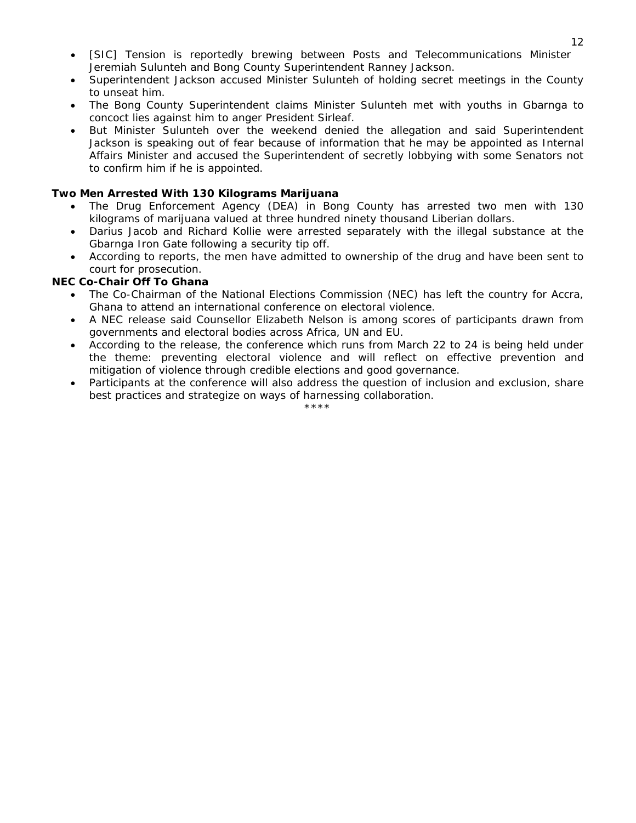- [SIC] Tension is reportedly brewing between Posts and Telecommunications Minister Jeremiah Sulunteh and Bong County Superintendent Ranney Jackson.
- Superintendent Jackson accused Minister Sulunteh of holding secret meetings in the County to unseat him.
- The Bong County Superintendent claims Minister Sulunteh met with youths in Gbarnga to concoct lies against him to anger President Sirleaf.
- But Minister Sulunteh over the weekend denied the allegation and said Superintendent Jackson is speaking out of fear because of information that he may be appointed as Internal Affairs Minister and accused the Superintendent of secretly lobbying with some Senators not to confirm him if he is appointed.

#### **Two Men Arrested With 130 Kilograms Marijuana**

- The Drug Enforcement Agency (DEA) in Bong County has arrested two men with 130 kilograms of marijuana valued at three hundred ninety thousand Liberian dollars.
- Darius Jacob and Richard Kollie were arrested separately with the illegal substance at the Gbarnga Iron Gate following a security tip off.
- According to reports, the men have admitted to ownership of the drug and have been sent to court for prosecution.

#### **NEC Co-Chair Off To Ghana**

- The Co-Chairman of the National Elections Commission (NEC) has left the country for Accra, Ghana to attend an international conference on electoral violence.
- A NEC release said Counsellor Elizabeth Nelson is among scores of participants drawn from governments and electoral bodies across Africa, UN and EU.
- According to the release, the conference which runs from March 22 to 24 is being held under the theme: preventing electoral violence and will reflect on effective prevention and mitigation of violence through credible elections and good governance.
- Participants at the conference will also address the question of inclusion and exclusion, share best practices and strategize on ways of harnessing collaboration.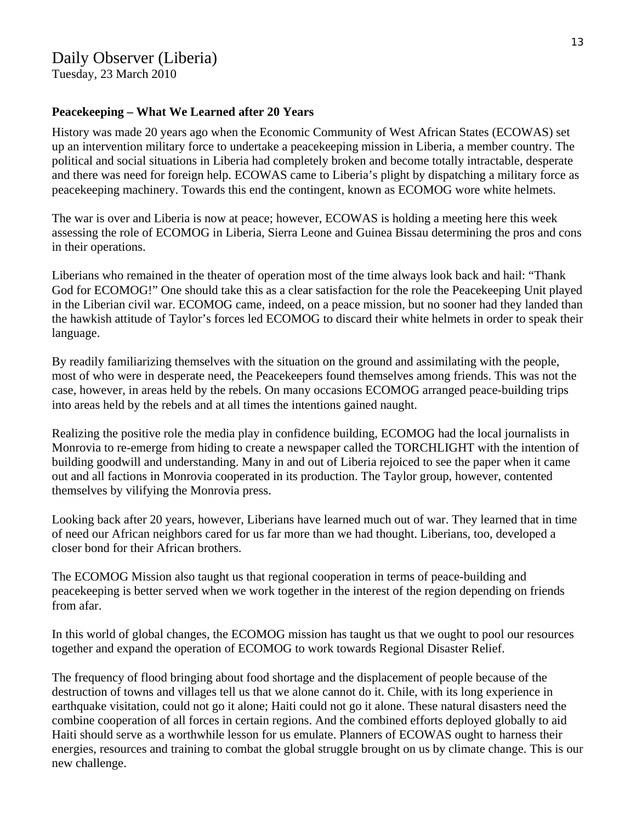Tuesday, 23 March 2010

### **Peacekeeping – What We Learned after 20 Years**

History was made 20 years ago when the Economic Community of West African States (ECOWAS) set up an intervention military force to undertake a peacekeeping mission in Liberia, a member country. The political and social situations in Liberia had completely broken and become totally intractable, desperate and there was need for foreign help. ECOWAS came to Liberia's plight by dispatching a military force as peacekeeping machinery. Towards this end the contingent, known as ECOMOG wore white helmets.

The war is over and Liberia is now at peace; however, ECOWAS is holding a meeting here this week assessing the role of ECOMOG in Liberia, Sierra Leone and Guinea Bissau determining the pros and cons in their operations.

Liberians who remained in the theater of operation most of the time always look back and hail: "Thank God for ECOMOG!" One should take this as a clear satisfaction for the role the Peacekeeping Unit played in the Liberian civil war. ECOMOG came, indeed, on a peace mission, but no sooner had they landed than the hawkish attitude of Taylor's forces led ECOMOG to discard their white helmets in order to speak their language.

By readily familiarizing themselves with the situation on the ground and assimilating with the people, most of who were in desperate need, the Peacekeepers found themselves among friends. This was not the case, however, in areas held by the rebels. On many occasions ECOMOG arranged peace-building trips into areas held by the rebels and at all times the intentions gained naught.

Realizing the positive role the media play in confidence building, ECOMOG had the local journalists in Monrovia to re-emerge from hiding to create a newspaper called the TORCHLIGHT with the intention of building goodwill and understanding. Many in and out of Liberia rejoiced to see the paper when it came out and all factions in Monrovia cooperated in its production. The Taylor group, however, contented themselves by vilifying the Monrovia press.

Looking back after 20 years, however, Liberians have learned much out of war. They learned that in time of need our African neighbors cared for us far more than we had thought. Liberians, too, developed a closer bond for their African brothers.

The ECOMOG Mission also taught us that regional cooperation in terms of peace-building and peacekeeping is better served when we work together in the interest of the region depending on friends from afar.

In this world of global changes, the ECOMOG mission has taught us that we ought to pool our resources together and expand the operation of ECOMOG to work towards Regional Disaster Relief.

The frequency of flood bringing about food shortage and the displacement of people because of the destruction of towns and villages tell us that we alone cannot do it. Chile, with its long experience in earthquake visitation, could not go it alone; Haiti could not go it alone. These natural disasters need the combine cooperation of all forces in certain regions. And the combined efforts deployed globally to aid Haiti should serve as a worthwhile lesson for us emulate. Planners of ECOWAS ought to harness their energies, resources and training to combat the global struggle brought on us by climate change. This is our new challenge.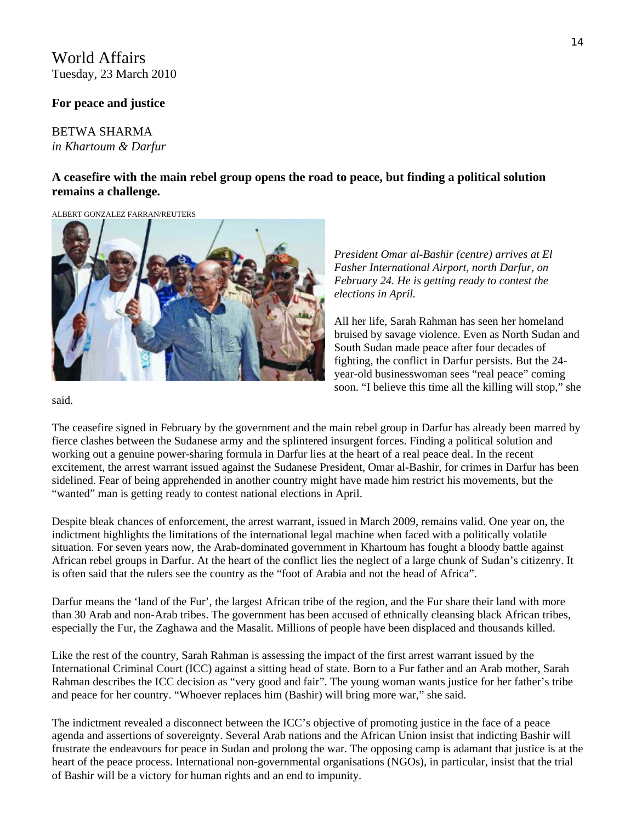# World Affairs Tuesday, 23 March 2010

#### **For peace and justice**

### BETWA SHARMA *in Khartoum & Darfur*

### **A ceasefire with the main rebel group opens the road to peace, but finding a political solution remains a challenge.**

ALBERT GONZALEZ FARRAN/REUTERS



*President Omar al-Bashir (centre) arrives at El Fasher International Airport, north Darfur, on February 24. He is getting ready to contest the elections in April.*

All her life, Sarah Rahman has seen her homeland bruised by savage violence. Even as North Sudan and South Sudan made peace after four decades of fighting, the conflict in Darfur persists. But the 24 year-old businesswoman sees "real peace" coming soon. "I believe this time all the killing will stop," she

said.

The ceasefire signed in February by the government and the main rebel group in Darfur has already been marred by fierce clashes between the Sudanese army and the splintered insurgent forces. Finding a political solution and working out a genuine power-sharing formula in Darfur lies at the heart of a real peace deal. In the recent excitement, the arrest warrant issued against the Sudanese President, Omar al-Bashir, for crimes in Darfur has been sidelined. Fear of being apprehended in another country might have made him restrict his movements, but the "wanted" man is getting ready to contest national elections in April.

Despite bleak chances of enforcement, the arrest warrant, issued in March 2009, remains valid. One year on, the indictment highlights the limitations of the international legal machine when faced with a politically volatile situation. For seven years now, the Arab-dominated government in Khartoum has fought a bloody battle against African rebel groups in Darfur. At the heart of the conflict lies the neglect of a large chunk of Sudan's citizenry. It is often said that the rulers see the country as the "foot of Arabia and not the head of Africa".

Darfur means the 'land of the Fur', the largest African tribe of the region, and the Fur share their land with more than 30 Arab and non-Arab tribes. The government has been accused of ethnically cleansing black African tribes, especially the Fur, the Zaghawa and the Masalit. Millions of people have been displaced and thousands killed.

Like the rest of the country, Sarah Rahman is assessing the impact of the first arrest warrant issued by the International Criminal Court (ICC) against a sitting head of state. Born to a Fur father and an Arab mother, Sarah Rahman describes the ICC decision as "very good and fair". The young woman wants justice for her father's tribe and peace for her country. "Whoever replaces him (Bashir) will bring more war," she said.

The indictment revealed a disconnect between the ICC's objective of promoting justice in the face of a peace agenda and assertions of sovereignty. Several Arab nations and the African Union insist that indicting Bashir will frustrate the endeavours for peace in Sudan and prolong the war. The opposing camp is adamant that justice is at the heart of the peace process. International non-governmental organisations (NGOs), in particular, insist that the trial of Bashir will be a victory for human rights and an end to impunity.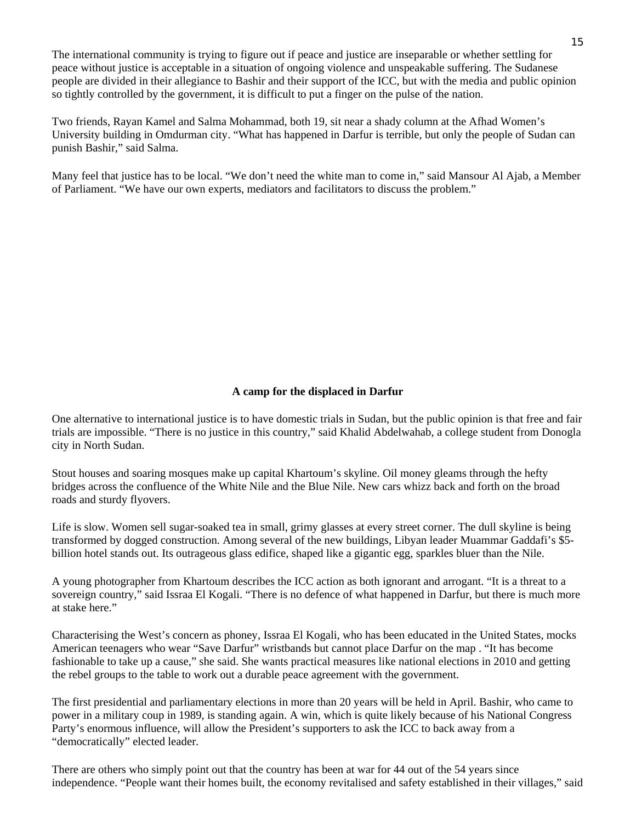The international community is trying to figure out if peace and justice are inseparable or whether settling for peace without justice is acceptable in a situation of ongoing violence and unspeakable suffering. The Sudanese people are divided in their allegiance to Bashir and their support of the ICC, but with the media and public opinion so tightly controlled by the government, it is difficult to put a finger on the pulse of the nation.

Two friends, Rayan Kamel and Salma Mohammad, both 19, sit near a shady column at the Afhad Women's University building in Omdurman city. "What has happened in Darfur is terrible, but only the people of Sudan can punish Bashir," said Salma.

Many feel that justice has to be local. "We don't need the white man to come in," said Mansour Al Ajab, a Member of Parliament. "We have our own experts, mediators and facilitators to discuss the problem."

#### **A camp for the displaced in Darfur**

One alternative to international justice is to have domestic trials in Sudan, but the public opinion is that free and fair trials are impossible. "There is no justice in this country," said Khalid Abdelwahab, a college student from Donogla city in North Sudan.

Stout houses and soaring mosques make up capital Khartoum's skyline. Oil money gleams through the hefty bridges across the confluence of the White Nile and the Blue Nile. New cars whizz back and forth on the broad roads and sturdy flyovers.

Life is slow. Women sell sugar-soaked tea in small, grimy glasses at every street corner. The dull skyline is being transformed by dogged construction. Among several of the new buildings, Libyan leader Muammar Gaddafi's \$5 billion hotel stands out. Its outrageous glass edifice, shaped like a gigantic egg, sparkles bluer than the Nile.

A young photographer from Khartoum describes the ICC action as both ignorant and arrogant. "It is a threat to a sovereign country," said Issraa El Kogali. "There is no defence of what happened in Darfur, but there is much more at stake here."

Characterising the West's concern as phoney, Issraa El Kogali, who has been educated in the United States, mocks American teenagers who wear "Save Darfur" wristbands but cannot place Darfur on the map . "It has become fashionable to take up a cause," she said. She wants practical measures like national elections in 2010 and getting the rebel groups to the table to work out a durable peace agreement with the government.

The first presidential and parliamentary elections in more than 20 years will be held in April. Bashir, who came to power in a military coup in 1989, is standing again. A win, which is quite likely because of his National Congress Party's enormous influence, will allow the President's supporters to ask the ICC to back away from a "democratically" elected leader.

There are others who simply point out that the country has been at war for 44 out of the 54 years since independence. "People want their homes built, the economy revitalised and safety established in their villages," said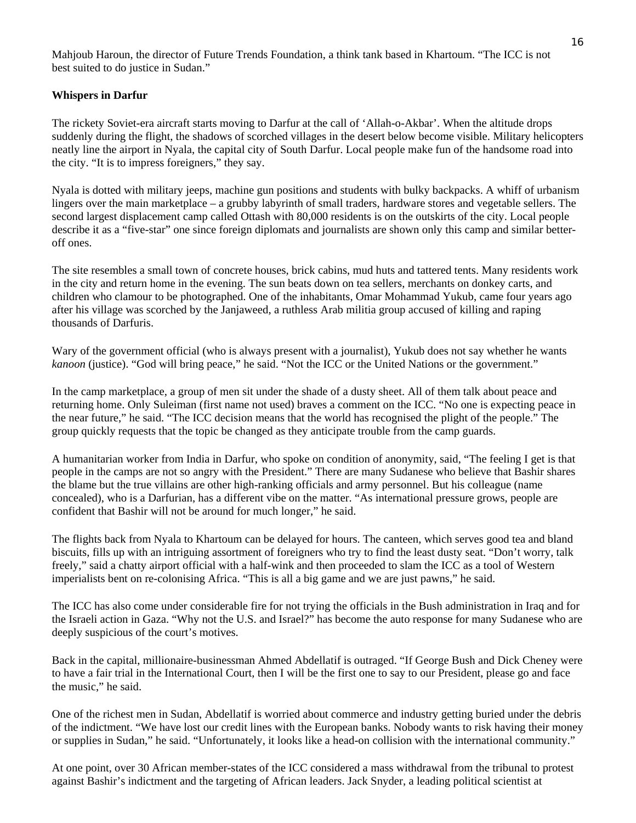#### **Whispers in Darfur**

The rickety Soviet-era aircraft starts moving to Darfur at the call of 'Allah-o-Akbar'. When the altitude drops suddenly during the flight, the shadows of scorched villages in the desert below become visible. Military helicopters neatly line the airport in Nyala, the capital city of South Darfur. Local people make fun of the handsome road into the city. "It is to impress foreigners," they say.

Nyala is dotted with military jeeps, machine gun positions and students with bulky backpacks. A whiff of urbanism lingers over the main marketplace – a grubby labyrinth of small traders, hardware stores and vegetable sellers. The second largest displacement camp called Ottash with 80,000 residents is on the outskirts of the city. Local people describe it as a "five-star" one since foreign diplomats and journalists are shown only this camp and similar betteroff ones.

The site resembles a small town of concrete houses, brick cabins, mud huts and tattered tents. Many residents work in the city and return home in the evening. The sun beats down on tea sellers, merchants on donkey carts, and children who clamour to be photographed. One of the inhabitants, Omar Mohammad Yukub, came four years ago after his village was scorched by the Janjaweed, a ruthless Arab militia group accused of killing and raping thousands of Darfuris.

Wary of the government official (who is always present with a journalist), Yukub does not say whether he wants *kanoon* (justice). "God will bring peace," he said. "Not the ICC or the United Nations or the government."

In the camp marketplace, a group of men sit under the shade of a dusty sheet. All of them talk about peace and returning home. Only Suleiman (first name not used) braves a comment on the ICC. "No one is expecting peace in the near future," he said. "The ICC decision means that the world has recognised the plight of the people." The group quickly requests that the topic be changed as they anticipate trouble from the camp guards.

A humanitarian worker from India in Darfur, who spoke on condition of anonymity, said, "The feeling I get is that people in the camps are not so angry with the President." There are many Sudanese who believe that Bashir shares the blame but the true villains are other high-ranking officials and army personnel. But his colleague (name concealed), who is a Darfurian, has a different vibe on the matter. "As international pressure grows, people are confident that Bashir will not be around for much longer," he said.

The flights back from Nyala to Khartoum can be delayed for hours. The canteen, which serves good tea and bland biscuits, fills up with an intriguing assortment of foreigners who try to find the least dusty seat. "Don't worry, talk freely," said a chatty airport official with a half-wink and then proceeded to slam the ICC as a tool of Western imperialists bent on re-colonising Africa. "This is all a big game and we are just pawns," he said.

The ICC has also come under considerable fire for not trying the officials in the Bush administration in Iraq and for the Israeli action in Gaza. "Why not the U.S. and Israel?" has become the auto response for many Sudanese who are deeply suspicious of the court's motives.

Back in the capital, millionaire-businessman Ahmed Abdellatif is outraged. "If George Bush and Dick Cheney were to have a fair trial in the International Court, then I will be the first one to say to our President, please go and face the music," he said.

One of the richest men in Sudan, Abdellatif is worried about commerce and industry getting buried under the debris of the indictment. "We have lost our credit lines with the European banks. Nobody wants to risk having their money or supplies in Sudan," he said. "Unfortunately, it looks like a head-on collision with the international community."

At one point, over 30 African member-states of the ICC considered a mass withdrawal from the tribunal to protest against Bashir's indictment and the targeting of African leaders. Jack Snyder, a leading political scientist at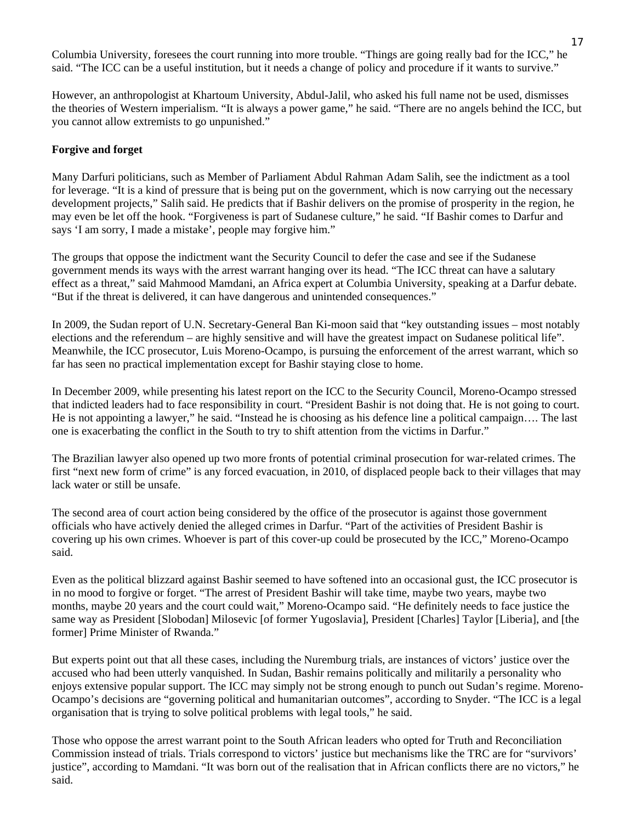Columbia University, foresees the court running into more trouble. "Things are going really bad for the ICC," he said. "The ICC can be a useful institution, but it needs a change of policy and procedure if it wants to survive."

However, an anthropologist at Khartoum University, Abdul-Jalil, who asked his full name not be used, dismisses the theories of Western imperialism. "It is always a power game," he said. "There are no angels behind the ICC, but you cannot allow extremists to go unpunished."

#### **Forgive and forget**

Many Darfuri politicians, such as Member of Parliament Abdul Rahman Adam Salih, see the indictment as a tool for leverage. "It is a kind of pressure that is being put on the government, which is now carrying out the necessary development projects," Salih said. He predicts that if Bashir delivers on the promise of prosperity in the region, he may even be let off the hook. "Forgiveness is part of Sudanese culture," he said. "If Bashir comes to Darfur and says 'I am sorry, I made a mistake', people may forgive him."

The groups that oppose the indictment want the Security Council to defer the case and see if the Sudanese government mends its ways with the arrest warrant hanging over its head. "The ICC threat can have a salutary effect as a threat," said Mahmood Mamdani, an Africa expert at Columbia University, speaking at a Darfur debate. "But if the threat is delivered, it can have dangerous and unintended consequences."

In 2009, the Sudan report of U.N. Secretary-General Ban Ki-moon said that "key outstanding issues – most notably elections and the referendum – are highly sensitive and will have the greatest impact on Sudanese political life". Meanwhile, the ICC prosecutor, Luis Moreno-Ocampo, is pursuing the enforcement of the arrest warrant, which so far has seen no practical implementation except for Bashir staying close to home.

In December 2009, while presenting his latest report on the ICC to the Security Council, Moreno-Ocampo stressed that indicted leaders had to face responsibility in court. "President Bashir is not doing that. He is not going to court. He is not appointing a lawyer," he said. "Instead he is choosing as his defence line a political campaign…. The last one is exacerbating the conflict in the South to try to shift attention from the victims in Darfur."

The Brazilian lawyer also opened up two more fronts of potential criminal prosecution for war-related crimes. The first "next new form of crime" is any forced evacuation, in 2010, of displaced people back to their villages that may lack water or still be unsafe.

The second area of court action being considered by the office of the prosecutor is against those government officials who have actively denied the alleged crimes in Darfur. "Part of the activities of President Bashir is covering up his own crimes. Whoever is part of this cover-up could be prosecuted by the ICC," Moreno-Ocampo said.

Even as the political blizzard against Bashir seemed to have softened into an occasional gust, the ICC prosecutor is in no mood to forgive or forget. "The arrest of President Bashir will take time, maybe two years, maybe two months, maybe 20 years and the court could wait," Moreno-Ocampo said. "He definitely needs to face justice the same way as President [Slobodan] Milosevic [of former Yugoslavia], President [Charles] Taylor [Liberia], and [the former] Prime Minister of Rwanda."

But experts point out that all these cases, including the Nuremburg trials, are instances of victors' justice over the accused who had been utterly vanquished. In Sudan, Bashir remains politically and militarily a personality who enjoys extensive popular support. The ICC may simply not be strong enough to punch out Sudan's regime. Moreno-Ocampo's decisions are "governing political and humanitarian outcomes", according to Snyder. "The ICC is a legal organisation that is trying to solve political problems with legal tools," he said.

Those who oppose the arrest warrant point to the South African leaders who opted for Truth and Reconciliation Commission instead of trials. Trials correspond to victors' justice but mechanisms like the TRC are for "survivors' justice", according to Mamdani. "It was born out of the realisation that in African conflicts there are no victors," he said.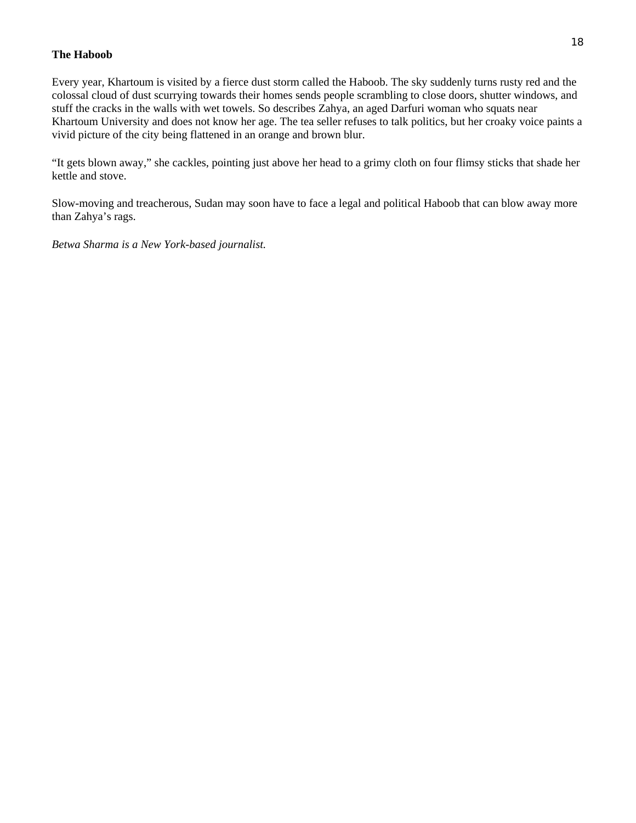#### **The Haboob**

Every year, Khartoum is visited by a fierce dust storm called the Haboob. The sky suddenly turns rusty red and the colossal cloud of dust scurrying towards their homes sends people scrambling to close doors, shutter windows, and stuff the cracks in the walls with wet towels. So describes Zahya, an aged Darfuri woman who squats near Khartoum University and does not know her age. The tea seller refuses to talk politics, but her croaky voice paints a vivid picture of the city being flattened in an orange and brown blur.

"It gets blown away," she cackles, pointing just above her head to a grimy cloth on four flimsy sticks that shade her kettle and stove.

Slow-moving and treacherous, Sudan may soon have to face a legal and political Haboob that can blow away more than Zahya's rags.

*Betwa Sharma is a New York-based journalist.*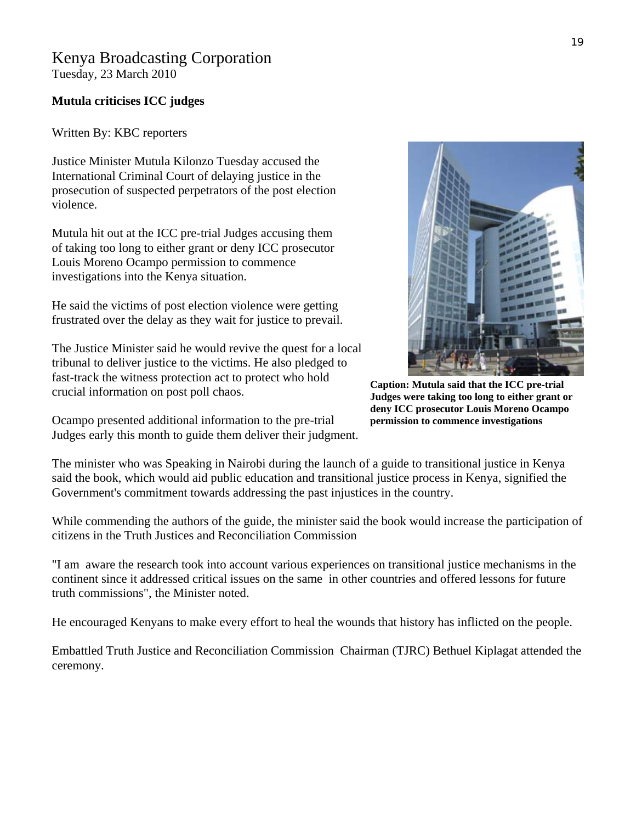# Kenya Broadcasting Corporation

Tuesday, 23 March 2010

### **Mutula criticises ICC judges**

Written By: KBC reporters

Justice Minister Mutula Kilonzo Tuesday accused the International Criminal Court of delaying justice in the prosecution of suspected perpetrators of the post election violence.

Mutula hit out at the ICC pre-trial Judges accusing them of taking too long to either grant or deny ICC prosecutor Louis Moreno Ocampo permission to commence investigations into the Kenya situation.

He said the victims of post election violence were getting frustrated over the delay as they wait for justice to prevail.

The Justice Minister said he would revive the quest for a local tribunal to deliver justice to the victims. He also pledged to fast-track the witness protection act to protect who hold crucial information on post poll chaos.

Ocampo presented additional information to the pre-trial Judges early this month to guide them deliver their judgment.

**Caption: Mutula said that the ICC pre-trial Judges were taking too long to either grant or deny ICC prosecutor Louis Moreno Ocampo permission to commence investigations**

The minister who was Speaking in Nairobi during the launch of a guide to transitional justice in Kenya said the book, which would aid public education and transitional justice process in Kenya, signified the Government's commitment towards addressing the past injustices in the country.

While commending the authors of the guide, the minister said the book would increase the participation of citizens in the Truth Justices and Reconciliation Commission

"I am aware the research took into account various experiences on transitional justice mechanisms in the continent since it addressed critical issues on the same in other countries and offered lessons for future truth commissions", the Minister noted.

He encouraged Kenyans to make every effort to heal the wounds that history has inflicted on the people.

Embattled Truth Justice and Reconciliation Commission Chairman (TJRC) Bethuel Kiplagat attended the ceremony.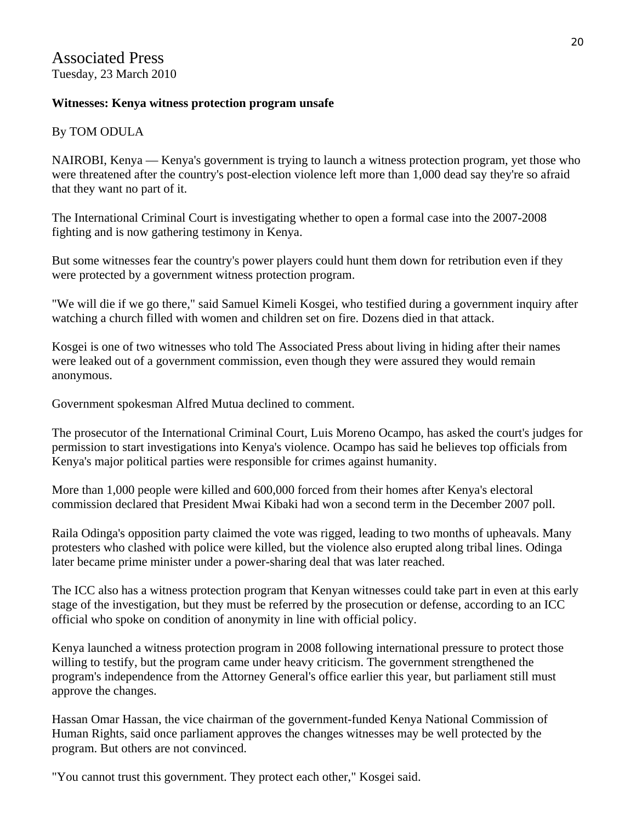## **Witnesses: Kenya witness protection program unsafe**

# By TOM ODULA

NAIROBI, Kenya — Kenya's government is trying to launch a witness protection program, yet those who were threatened after the country's post-election violence left more than 1,000 dead say they're so afraid that they want no part of it.

The International Criminal Court is investigating whether to open a formal case into the 2007-2008 fighting and is now gathering testimony in Kenya.

But some witnesses fear the country's power players could hunt them down for retribution even if they were protected by a government witness protection program.

"We will die if we go there," said Samuel Kimeli Kosgei, who testified during a government inquiry after watching a church filled with women and children set on fire. Dozens died in that attack.

Kosgei is one of two witnesses who told The Associated Press about living in hiding after their names were leaked out of a government commission, even though they were assured they would remain anonymous.

Government spokesman Alfred Mutua declined to comment.

The prosecutor of the International Criminal Court, Luis Moreno Ocampo, has asked the court's judges for permission to start investigations into Kenya's violence. Ocampo has said he believes top officials from Kenya's major political parties were responsible for crimes against humanity.

More than 1,000 people were killed and 600,000 forced from their homes after Kenya's electoral commission declared that President Mwai Kibaki had won a second term in the December 2007 poll.

Raila Odinga's opposition party claimed the vote was rigged, leading to two months of upheavals. Many protesters who clashed with police were killed, but the violence also erupted along tribal lines. Odinga later became prime minister under a power-sharing deal that was later reached.

The ICC also has a witness protection program that Kenyan witnesses could take part in even at this early stage of the investigation, but they must be referred by the prosecution or defense, according to an ICC official who spoke on condition of anonymity in line with official policy.

Kenya launched a witness protection program in 2008 following international pressure to protect those willing to testify, but the program came under heavy criticism. The government strengthened the program's independence from the Attorney General's office earlier this year, but parliament still must approve the changes.

Hassan Omar Hassan, the vice chairman of the government-funded Kenya National Commission of Human Rights, said once parliament approves the changes witnesses may be well protected by the program. But others are not convinced.

"You cannot trust this government. They protect each other," Kosgei said.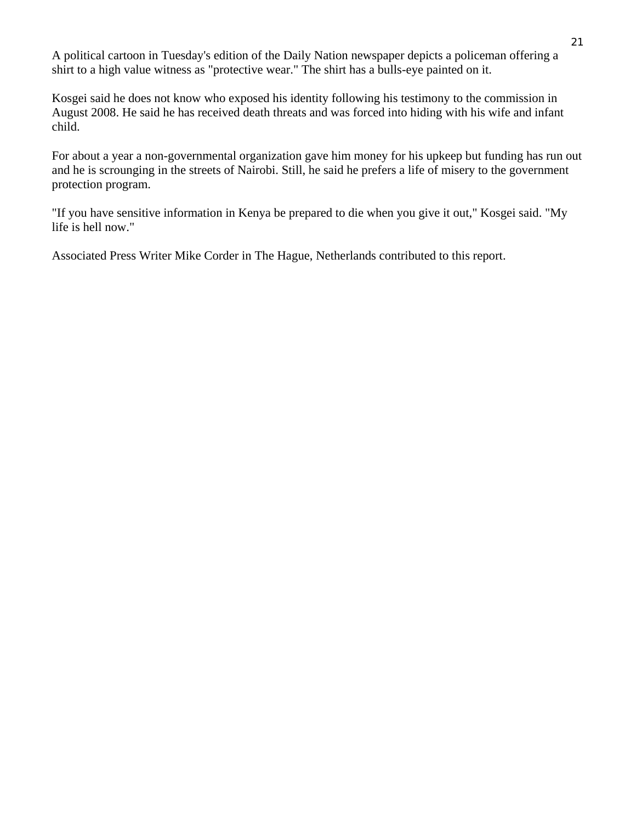A political cartoon in Tuesday's edition of the Daily Nation newspaper depicts a policeman offering a shirt to a high value witness as "protective wear." The shirt has a bulls-eye painted on it.

Kosgei said he does not know who exposed his identity following his testimony to the commission in August 2008. He said he has received death threats and was forced into hiding with his wife and infant child.

For about a year a non-governmental organization gave him money for his upkeep but funding has run out and he is scrounging in the streets of Nairobi. Still, he said he prefers a life of misery to the government protection program.

"If you have sensitive information in Kenya be prepared to die when you give it out," Kosgei said. "My life is hell now."

Associated Press Writer Mike Corder in The Hague, Netherlands contributed to this report.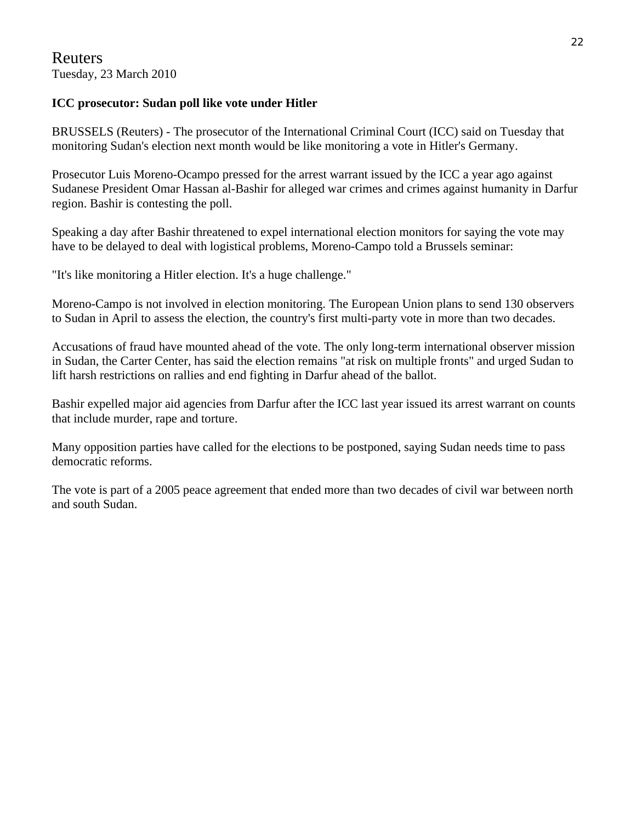# Reuters Tuesday, 23 March 2010

# **ICC prosecutor: Sudan poll like vote under Hitler**

BRUSSELS (Reuters) - The prosecutor of the International Criminal Court (ICC) said on Tuesday that monitoring Sudan's election next month would be like monitoring a vote in Hitler's Germany.

Prosecutor Luis Moreno-Ocampo pressed for the arrest warrant issued by the ICC a year ago against Sudanese President Omar Hassan al-Bashir for alleged war crimes and crimes against humanity in Darfur region. Bashir is contesting the poll.

Speaking a day after Bashir threatened to expel international election monitors for saying the vote may have to be delayed to deal with logistical problems, Moreno-Campo told a Brussels seminar:

"It's like monitoring a Hitler election. It's a huge challenge."

Moreno-Campo is not involved in election monitoring. The European Union plans to send 130 observers to Sudan in April to assess the election, the country's first multi-party vote in more than two decades.

Accusations of fraud have mounted ahead of the vote. The only long-term international observer mission in Sudan, the Carter Center, has said the election remains "at risk on multiple fronts" and urged Sudan to lift harsh restrictions on rallies and end fighting in Darfur ahead of the ballot.

Bashir expelled major aid agencies from Darfur after the ICC last year issued its arrest warrant on counts that include murder, rape and torture.

Many opposition parties have called for the elections to be postponed, saying Sudan needs time to pass democratic reforms.

The vote is part of a 2005 peace agreement that ended more than two decades of civil war between north and south Sudan.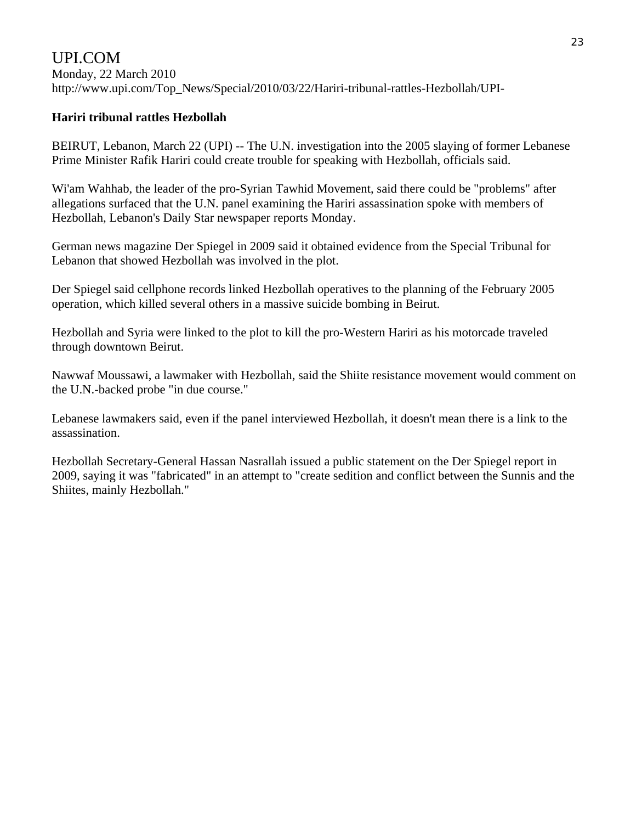### UPI.COM Monday, 22 March 2010 [http://www.upi.com/Top\\_News/Special/2010/03/22/Hariri-tribunal-rattles-Hezbollah/UPI-](http://www.upi.com/Top_News/Special/2010/03/22/Hariri-tribunal-rattles-Hezbollah/UPI-)

### **Hariri tribunal rattles Hezbollah**

BEIRUT, Lebanon, March 22 (UPI) -- The U.N. investigation into the 2005 slaying of former Lebanese Prime Minister Rafik Hariri could create trouble for speaking with Hezbollah, officials said.

Wi'am Wahhab, the leader of the pro-Syrian Tawhid Movement, said there could be "problems" after allegations surfaced that the U.N. panel examining the Hariri assassination spoke with members of Hezbollah, Lebanon's Daily Star newspaper reports Monday.

German news magazine Der Spiegel in 2009 said it obtained evidence from the Special Tribunal for Lebanon that showed Hezbollah was involved in the plot.

Der Spiegel said cellphone records linked Hezbollah operatives to the planning of the February 2005 operation, which killed several others in a massive suicide bombing in Beirut.

Hezbollah and Syria were linked to the plot to kill the pro-Western Hariri as his motorcade traveled through downtown Beirut.

Nawwaf Moussawi, a lawmaker with Hezbollah, said the Shiite resistance movement would comment on the U.N.-backed probe "in due course."

Lebanese lawmakers said, even if the panel interviewed Hezbollah, it doesn't mean there is a link to the assassination.

Hezbollah Secretary-General Hassan Nasrallah issued a public statement on the Der Spiegel report in 2009, saying it was "fabricated" in an attempt to "create sedition and conflict between the Sunnis and the Shiites, mainly Hezbollah."